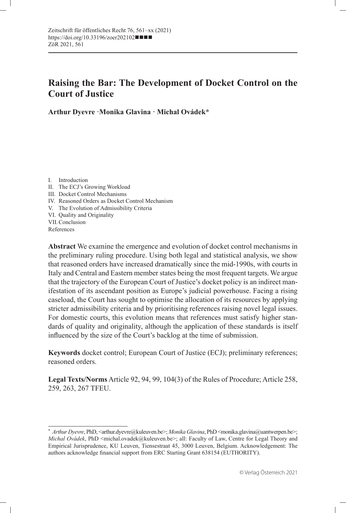# **Raising the Bar: The Development of Docket Control on the Court of Justice**

**Arthur Dyevre ·Monika Glavina · Michal Ovádek\***

I. Introduction II. The ECJ's Growing Workload III. Docket Control Mechanisms IV. Reasoned Orders as Docket Control Mechanism V. The Evolution of Admissibility Criteria VI. Quality and Originality VII. Conclusion References

**Abstract** We examine the emergence and evolution of docket control mechanisms in the preliminary ruling procedure. Using both legal and statistical analysis, we show that reasoned orders have increased dramatically since the mid-1990s, with courts in Italy and Central and Eastern member states being the most frequent targets. We argue that the trajectory of the European Court of Justice's docket policy is an indirect manifestation of its ascendant position as Europe's judicial powerhouse. Facing a rising caseload, the Court has sought to optimise the allocation of its resources by applying stricter admissibility criteria and by prioritising references raising novel legal issues. For domestic courts, this evolution means that references must satisfy higher standards of quality and originality, although the application of these standards is itself influenced by the size of the Court's backlog at the time of submission.

**Keywords** docket control; European Court of Justice (ECJ); preliminary references; reasoned orders.

**Legal Texts/Norms** Article 92, 94, 99, 104(3) of the Rules of Procedure; Article 258, 259, 263, 267 TFEU.

<sup>\*</sup> *Arthur Dyevre*, PhD, <arthur.dyevre@kuleuven.be>; *Monika Glavina*, PhD <monika.glavina@uantwerpen.be>; *Michal Ovádek*, PhD <michal.ovadek@kuleuven.be>; all: Faculty of Law, Centre for Legal Theory and Empirical Jurisprudence, KU Leuven, Tiensestraat 45, 3000 Leuven, Belgium. Acknowledgement: The authors acknowledge financial support from ERC Starting Grant 638154 (EUTHORITY).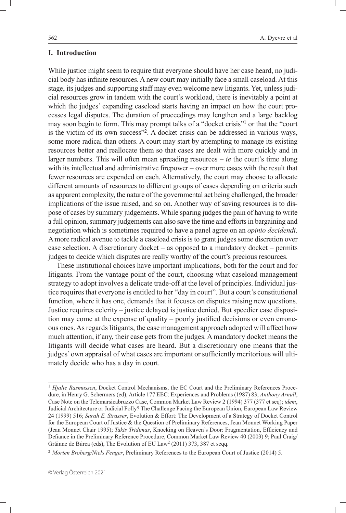## **I. Introduction**

While justice might seem to require that everyone should have her case heard, no judicial body has infinite resources. A new court may initially face a small caseload. At this stage, its judges and supporting staff may even welcome new litigants. Yet, unless judicial resources grow in tandem with the court's workload, there is inevitably a point at which the judges' expanding caseload starts having an impact on how the court processes legal disputes. The duration of proceedings may lengthen and a large backlog may soon begin to form. This may prompt talks of a "docket crisis"1 or that the "court is the victim of its own success"2. A docket crisis can be addressed in various ways, some more radical than others. A court may start by attempting to manage its existing resources better and reallocate them so that cases are dealt with more quickly and in larger numbers. This will often mean spreading resources – *ie* the court's time along with its intellectual and administrative firepower – over more cases with the result that fewer resources are expended on each. Alternatively, the court may choose to allocate different amounts of resources to different groups of cases depending on criteria such as apparent complexity, the nature of the governmental act being challenged, the broader implications of the issue raised, and so on. Another way of saving resources is to dispose of cases by summary judgements. While sparing judges the pain of having to write a full opinion, summary judgements can also save the time and efforts in bargaining and negotiation which is sometimes required to have a panel agree on an *opinio decidendi*. A more radical avenue to tackle a caseload crisis is to grant judges some discretion over case selection. A discretionary docket – as opposed to a mandatory docket – permits judges to decide which disputes are really worthy of the court's precious resources.

These institutional choices have important implications, both for the court and for litigants. From the vantage point of the court, choosing what caseload management strategy to adopt involves a delicate trade-off at the level of principles. Individual justice requires that everyone is entitled to her "day in court". But a court's constitutional function, where it has one, demands that it focuses on disputes raising new questions. Justice requires celerity – justice delayed is justice denied. But speedier case disposition may come at the expense of quality – poorly justified decisions or even erroneous ones. As regards litigants, the case management approach adopted will affect how much attention, if any, their case gets from the judges. A mandatory docket means the litigants will decide what cases are heard. But a discretionary one means that the judges' own appraisal of what cases are important or sufficiently meritorious will ultimately decide who has a day in court.

<sup>1</sup> *Hjalte Rasmussen*, Docket Control Mechanisms, the EC Court and the Preliminary References Procedure, in Henry G. Schermers (ed), Article 177 EEC: Experiences and Problems (1987) 83; *Anthony Arnull*, Case Note on the Telemarsicabruzzo Case, Common Market Law Review 2 (1994) 377 (377 et seq); *idem*, Judicial Architecture or Judicial Folly? The Challenge Facing the European Union, European Law Review 24 (1999) 516; *Sarah E. Strasser*, Evolution & Effort: The Development of a Strategy of Docket Control for the European Court of Justice & the Question of Preliminary References, Jean Monnet Working Paper (Jean Monnet Chair 1995); *Takis Tridimas*, Knocking on Heaven's Door: Fragmentation, Efficiency and Defiance in the Preliminary Reference Procedure, Common Market Law Review 40 (2003) 9; Paul Craig/ Gráinne de Búrca (eds), The Evolution of EU Law2 (2011) 373, 387 et seqq.

<sup>2</sup> *Morten Broberg/Niels Fenger*, Preliminary References to the European Court of Justice (2014) 5.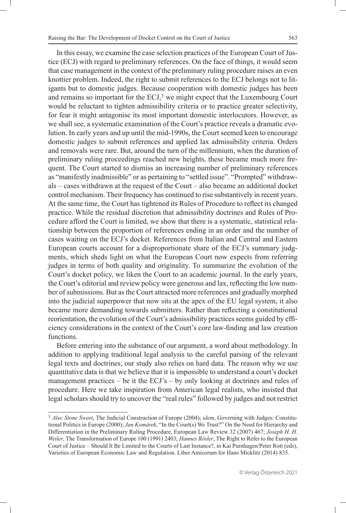In this essay, we examine the case selection practices of the European Court of Justice (ECJ) with regard to preliminary references. On the face of things, it would seem that case management in the context of the preliminary ruling procedure raises an even knottier problem. Indeed, the right to submit references to the ECJ belongs not to litigants but to domestic judges. Because cooperation with domestic judges has been and remains so important for the ECJ,<sup>3</sup> we might expect that the Luxembourg Court would be reluctant to tighten admissibility criteria or to practice greater selectivity, for fear it might antagonise its most important domestic interlocutors. However, as we shall see, a systematic examination of the Court's practice reveals a dramatic evolution. In early years and up until the mid-1990s, the Court seemed keen to encourage domestic judges to submit references and applied lax admissibility criteria. Orders and removals were rare. But, around the turn of the millennium, when the duration of preliminary ruling proceedings reached new heights, these became much more frequent. The Court started to dismiss an increasing number of preliminary references as "manifestly inadmissible" or as pertaining to "settled issue". "Prompted" withdrawals – cases withdrawn at the request of the Court – also became an additional docket control mechanism. Their frequency has continued to rise substantively in recent years. At the same time, the Court has tightened its Rules of Procedure to reflect its changed practice. While the residual discretion that admissibility doctrines and Rules of Procedure afford the Court is limited, we show that there is a systematic, statistical relationship between the proportion of references ending in an order and the number of cases waiting on the ECJ's docket. References from Italian and Central and Eastern European courts account for a disproportionate share of the ECJ's summary judgments, which sheds light on what the European Court now expects from referring judges in terms of both quality and originality. To summarize the evolution of the Court's docket policy, we liken the Court to an academic journal. In the early years,

the Court's editorial and review policy were generous and lax, reflecting the low number of submissions. But as the Court attracted more references and gradually morphed into the judicial superpower that now sits at the apex of the EU legal system, it also became more demanding towards submitters. Rather than reflecting a constitutional reorientation, the evolution of the Court's admissibility practices seems guided by efficiency considerations in the context of the Court's core law-finding and law creation functions.

Before entering into the substance of our argument, a word about methodology. In addition to applying traditional legal analysis to the careful parsing of the relevant legal texts and doctrines, our study also relies on hard data. The reason why we use quantitative data is that we believe that it is impossible to understand a court's docket management practices – be it the ECJ's – by only looking at doctrines and rules of procedure. Here we take inspiration from American legal realists, who insisted that legal scholars should try to uncover the "real rules" followed by judges and not restrict

<sup>3</sup> *Alec Stone Sweet*, The Judicial Construction of Europe (2004); *idem*, Governing with Judges: Constitutional Politics in Europe (2000); *Jan Komárek*, "In the Court(s) We Trust?" On the Need for Hierarchy and Differentiation in the Preliminary Ruling Procedure, European Law Review 32 (2007) 467; *Joseph H. H. Weiler*, The Transformation of Europe 100 (1991) 2403; *Hannes Rösler*, The Right to Refer to the European Court of Justice – Should It Be Limited to the Courts of Last Instance?, in Kai Purnhagen/Peter Rott (eds), Varieties of European Economic Law and Regulation. Liber Amicorum for Hans Micklitz (2014) 835.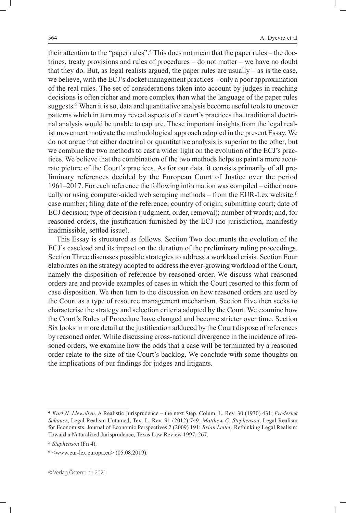their attention to the "paper rules".4 This does not mean that the paper rules – the doctrines, treaty provisions and rules of procedures – do not matter – we have no doubt that they do. But, as legal realists argued, the paper rules are usually  $-$  as is the case, we believe, with the ECJ's docket management practices – only a poor approximation of the real rules. The set of considerations taken into account by judges in reaching decisions is often richer and more complex than what the language of the paper rules suggests.<sup>5</sup> When it is so, data and quantitative analysis become useful tools to uncover patterns which in turn may reveal aspects of a court's practices that traditional doctrinal analysis would be unable to capture. These important insights from the legal realist movement motivate the methodological approach adopted in the present Essay. We do not argue that either doctrinal or quantitative analysis is superior to the other, but we combine the two methods to cast a wider light on the evolution of the ECJ's practices. We believe that the combination of the two methods helps us paint a more accurate picture of the Court's practices. As for our data, it consists primarily of all preliminary references decided by the European Court of Justice over the period 1961–2017. For each reference the following information was compiled – either manually or using computer-aided web scraping methods – from the EUR-Lex website:<sup>6</sup> case number; filing date of the reference; country of origin; submitting court; date of ECJ decision; type of decision (judgment, order, removal); number of words; and, for reasoned orders, the justification furnished by the ECJ (no jurisdiction, manifestly inadmissible, settled issue).

This Essay is structured as follows. Section Two documents the evolution of the ECJ's caseload and its impact on the duration of the preliminary ruling proceedings. Section Three discusses possible strategies to address a workload crisis. Section Four elaborates on the strategy adopted to address the ever-growing workload of the Court, namely the disposition of reference by reasoned order. We discuss what reasoned orders are and provide examples of cases in which the Court resorted to this form of case disposition. We then turn to the discussion on how reasoned orders are used by the Court as a type of resource management mechanism. Section Five then seeks to characterise the strategy and selection criteria adopted by the Court. We examine how the Court's Rules of Procedure have changed and become stricter over time. Section Six looks in more detail at the justification adduced by the Court dispose of references by reasoned order. While discussing cross-national divergence in the incidence of reasoned orders, we examine how the odds that a case will be terminated by a reasoned order relate to the size of the Court's backlog. We conclude with some thoughts on the implications of our findings for judges and litigants.

<sup>4</sup>*Karl N. Llewellyn*, A Realistic Jurisprudence – the next Step, Colum. L. Rev. 30 (1930) 431; *Frederick Schauer*, Legal Realism Untamed, Tex. L. Rev. 91 (2012) 749; *Matthew C. Stephenson*, Legal Realism for Economists, Journal of Economic Perspectives 2 (2009) 191; *Brian Leiter*, Rethinking Legal Realism: Toward a Naturalized Jurisprudence, Texas Law Review 1997, 267.

<sup>5</sup>*Stephenson* (Fn 4).

 $6$   $\leq$ www.eur-lex.europa.eu $>(05.08.2019)$ .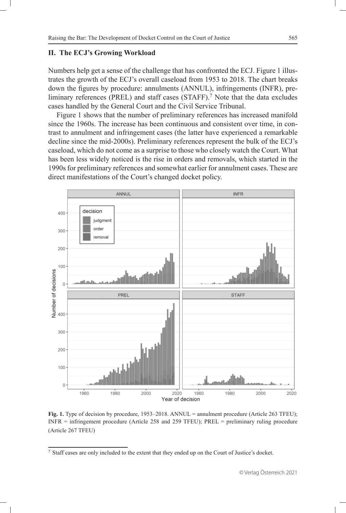## **II. The ECJ's Growing Workload**

Numbers help get a sense of the challenge that has confronted the ECJ. Figure 1 illustrates the growth of the ECJ's overall caseload from 1953 to 2018. The chart breaks down the figures by procedure: annulments (ANNUL), infringements (INFR), preliminary references (PREL) and staff cases (STAFF).<sup>7</sup> Note that the data excludes cases handled by the General Court and the Civil Service Tribunal.

Figure 1 shows that the number of preliminary references has increased manifold since the 1960s. The increase has been continuous and consistent over time, in contrast to annulment and infringement cases (the latter have experienced a remarkable decline since the mid-2000s). Preliminary references represent the bulk of the ECJ's caseload, which do not come as a surprise to those who closely watch the Court. What has been less widely noticed is the rise in orders and removals, which started in the 1990s for preliminary references and somewhat earlier for annulment cases. These are direct manifestations of the Court's changed docket policy.



Fig. 1. Type of decision by procedure, 1953–2018. ANNUL = annulment procedure (Article 263 TFEU); INFR = infringement procedure (Article 258 and 259 TFEU); PREL = preliminary ruling procedure (Article 267 TFEU)

<sup>7</sup> Staff cases are only included to the extent that they ended up on the Court of Justice's docket.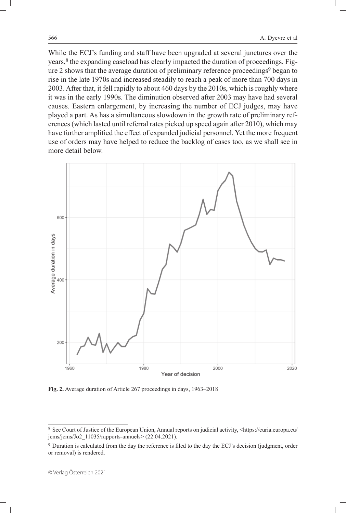While the ECJ's funding and staff have been upgraded at several junctures over the years,<sup>8</sup> the expanding caseload has clearly impacted the duration of proceedings. Figure 2 shows that the average duration of preliminary reference proceedings<sup>9</sup> began to rise in the late 1970s and increased steadily to reach a peak of more than 700 days in 2003. After that, it fell rapidly to about 460 days by the 2010s, which is roughly where it was in the early 1990s. The diminution observed after 2003 may have had several causes. Eastern enlargement, by increasing the number of ECJ judges, may have played a part. As has a simultaneous slowdown in the growth rate of preliminary references (which lasted until referral rates picked up speed again after 2010), which may have further amplified the effect of expanded judicial personnel. Yet the more frequent use of orders may have helped to reduce the backlog of cases too, as we shall see in more detail below.



**Fig. 2.** Average duration of Article 267 proceedings in days, 1963–2018

<sup>8</sup> See Court of Justice of the European Union, Annual reports on judicial activity, <https://curia.europa.eu/ jcms/jcms/Jo2\_11035/rapports-annuels> (22.04.2021).

<sup>&</sup>lt;sup>9</sup> Duration is calculated from the day the reference is filed to the day the ECJ's decision (judgment, order or removal) is rendered.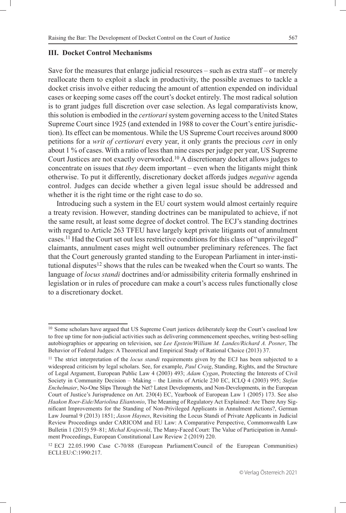#### **III. Docket Control Mechanisms**

Save for the measures that enlarge judicial resources – such as extra staff – or merely reallocate them to exploit a slack in productivity, the possible avenues to tackle a docket crisis involve either reducing the amount of attention expended on individual cases or keeping some cases off the court's docket entirely. The most radical solution is to grant judges full discretion over case selection. As legal comparativists know, this solution is embodied in the *certiorari* system governing access to the United States Supreme Court since 1925 (and extended in 1988 to cover the Court's entire jurisdiction). Its effect can be momentous. While the US Supreme Court receives around 8000 petitions for a *writ of certiorari* every year, it only grants the precious *cert* in only about 1 % of cases. With a ratio of less than nine cases per judge per year, US Supreme Court Justices are not exactly overworked.10 A discretionary docket allows judges to concentrate on issues that *they* deem important – even when the litigants might think otherwise. To put it differently, discretionary docket affords judges *negative* agenda control. Judges can decide whether a given legal issue should be addressed and whether it is the right time or the right case to do so.

Introducing such a system in the EU court system would almost certainly require a treaty revision. However, standing doctrines can be manipulated to achieve, if not the same result, at least some degree of docket control. The ECJ's standing doctrines with regard to Article 263 TFEU have largely kept private litigants out of annulment cases.11 Had the Court set out less restrictive conditions for this class of "unprivileged" claimants, annulment cases might well outnumber preliminary references. The fact that the Court generously granted standing to the European Parliament in inter-institutional disputes<sup>12</sup> shows that the rules can be tweaked when the Court so wants. The language of *locus standi* doctrines and/or admissibility criteria formally enshrined in legislation or in rules of procedure can make a court's access rules functionally close to a discretionary docket.

<sup>&</sup>lt;sup>10</sup> Some scholars have argued that US Supreme Court justices deliberately keep the Court's caseload low to free up time for non-judicial activities such as delivering commencement speeches, writing best-selling autobiographies or appearing on television, see *Lee Epstein/William M. Landes/Richard A. Posner*, The Behavior of Federal Judges: A Theoretical and Empirical Study of Rational Choice (2013) 37.

<sup>&</sup>lt;sup>11</sup> The strict interpretation of the *locus standi* requirements given by the ECJ has been subjected to a widespread criticism by legal scholars. See, for example, *Paul Craig*, Standing, Rights, and the Structure of Legal Argument, European Public Law 4 (2003) 493; *Adam Cygan*, Protecting the Interests of Civil Society in Community Decision – Making – the Limits of Article 230 EC, ICLQ 4 (2003) 995; *Stefan Enchelmaier*, No-One Slips Through the Net? Latest Developments, and Non-Developments, in the European Court of Justice's Jurisprudence on Art. 230(4) EC, Yearbook of European Law 1 (2005) 173. See also *Haakon Roer-Eide/Mariolina Eliantonio*, The Meaning of Regulatory Act Explained: Are There Any Significant Improvements for the Standing of Non-Privileged Applicants in Annulment Actions?, German Law Journal 9 (2013) 1851; *Jason Haynes*, Revisiting the Locus Standi of Private Applicants in Judicial Review Proceedings under CARICOM and EU Law: A Comparative Perspective, Commonwealth Law Bulletin 1 (2015) 59–81; *Michał Krajewski*, The Many-Faced Court: The Value of Participation in Annulment Proceedings, European Constitutional Law Review 2 (2019) 220.

<sup>&</sup>lt;sup>12</sup> ECJ 22.05.1990 Case C-70/88 (European Parliament/Council of the European Communities) ECLI:EU:C:1990:217.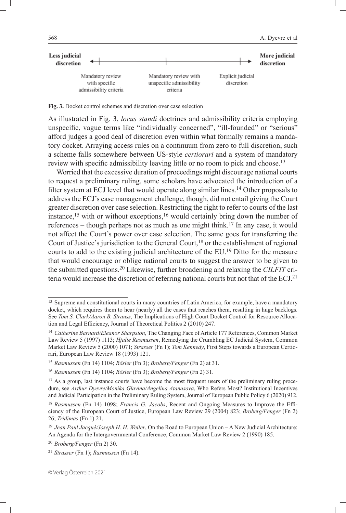

**Fig. 3.** Docket control schemes and discretion over case selection

As illustrated in Fig. 3, *locus standi* doctrines and admissibility criteria employing unspecific, vague terms like "individually concerned", "ill-founded" or "serious" afford judges a good deal of discretion even within what formally remains a mandatory docket. Arraying access rules on a continuum from zero to full discretion, such a scheme falls somewhere between US-style *certiorari* and a system of mandatory review with specific admissibility leaving little or no room to pick and choose.<sup>13</sup>

Worried that the excessive duration of proceedings might discourage national courts to request a preliminary ruling, some scholars have advocated the introduction of a filter system at ECJ level that would operate along similar lines.<sup>14</sup> Other proposals to address the ECJ's case management challenge, though, did not entail giving the Court greater discretion over case selection. Restricting the right to refer to courts of the last instance,<sup>15</sup> with or without exceptions,<sup>16</sup> would certainly bring down the number of references – though perhaps not as much as one might think.17 In any case, it would not affect the Court's power over case selection. The same goes for transferring the Court of Justice's jurisdiction to the General Court,<sup>18</sup> or the establishment of regional courts to add to the existing judicial architecture of the EU.19 Ditto for the measure that would encourage or oblige national courts to suggest the answer to be given to the submitted questions.20 Likewise, further broadening and relaxing the *CILFIT* criteria would increase the discretion of referring national courts but not that of the ECJ.21

<sup>&</sup>lt;sup>13</sup> Supreme and constitutional courts in many countries of Latin America, for example, have a mandatory docket, which requires them to hear (nearly) all the cases that reaches them, resulting in huge backlogs. See *Tom S. Clark/Aaron B. Strauss*, The Implications of High Court Docket Control for Resource Allocation and Legal Efficiency, Journal of Theoretical Politics 2 (2010) 247.

<sup>14</sup>*Catherine Barnard/Eleanor Sharpston*, The Changing Face of Article 177 References, Common Market Law Review 5 (1997) 1113; *Hjalte Rasmussen*, Remedying the Crumbling EC Judicial System, Common Market Law Review 5 (2000) 1071; *Strasser* (Fn 1); *Tom Kennedy*, First Steps towards a European Certiorari, European Law Review 18 (1993) 121.

<sup>15</sup>*Rasmussen* (Fn 14) 1104; *Rösler* (Fn 3); *Broberg/Fenger* (Fn 2) at 31.

<sup>16</sup>*Rasmussen* (Fn 14) 1104; *Rösler* (Fn 3); *Broberg/Fenger* (Fn 2) 31.

<sup>&</sup>lt;sup>17</sup> As a group, last instance courts have become the most frequent users of the preliminary ruling procedure, see *Arthur Dyevre/Monika Glavina/Angelina Atanasova*, Who Refers Most? Institutional Incentives and Judicial Participation in the Preliminary Ruling System, Journal of European Public Policy 6 (2020) 912.

<sup>&</sup>lt;sup>18</sup> Rasmussen (Fn 14) 1098; *Francis G. Jacobs*, Recent and Ongoing Measures to Improve the Efficiency of the European Court of Justice, European Law Review 29 (2004) 823; *Broberg/Fenger* (Fn 2) 26; *Tridimas* (Fn 1) 21.

<sup>19</sup>*Jean Paul Jacqué/Joseph H. H. Weiler*, On the Road to European Union – A New Judicial Architecture: An Agenda for the Intergovernmental Conference, Common Market Law Review 2 (1990) 185.

<sup>20</sup>*Broberg/Fenger* (Fn 2) 30.

<sup>21</sup> *Strasser* (Fn 1); *Rasmussen* (Fn 14).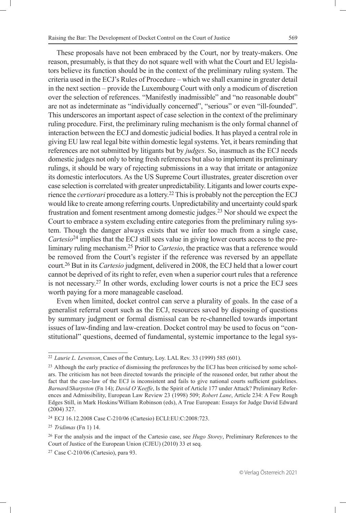These proposals have not been embraced by the Court, nor by treaty-makers. One reason, presumably, is that they do not square well with what the Court and EU legislators believe its function should be in the context of the preliminary ruling system. The criteria used in the ECJ's Rules of Procedure – which we shall examine in greater detail in the next section – provide the Luxembourg Court with only a modicum of discretion over the selection of references. "Manifestly inadmissible" and "no reasonable doubt" are not as indeterminate as "individually concerned", "serious" or even "ill-founded". This underscores an important aspect of case selection in the context of the preliminary ruling procedure. First, the preliminary ruling mechanism is the only formal channel of interaction between the ECJ and domestic judicial bodies. It has played a central role in giving EU law real legal bite within domestic legal systems. Yet, it bears reminding that references are not submitted by litigants but by *judges*. So, inasmuch as the ECJ needs domestic judges not only to bring fresh references but also to implement its preliminary rulings, it should be wary of rejecting submissions in a way that irritate or antagonize its domestic interlocutors. As the US Supreme Court illustrates, greater discretion over case selection is correlated with greater unpredictability. Litigants and lower courts experience the *certiorari* procedure as a lottery.22 This is probably not the perception the ECJ would like to create among referring courts. Unpredictability and uncertainty could spark frustration and foment resentment among domestic judges.23 Nor should we expect the Court to embrace a system excluding entire categories from the preliminary ruling system. Though the danger always exists that we infer too much from a single case, *Cartesio*24 implies that the ECJ still sees value in giving lower courts access to the preliminary ruling mechanism.25 Prior to *Cartesio*, the practice was that a reference would be removed from the Court's register if the reference was reversed by an appellate court.26 But in its *Cartesio* judgment, delivered in 2008, the ECJ held that a lower court cannot be deprived of its right to refer, even when a superior court rules that a reference is not necessary.<sup>27</sup> In other words, excluding lower courts is not a price the ECJ sees worth paying for a more manageable caseload.

Even when limited, docket control can serve a plurality of goals. In the case of a generalist referral court such as the ECJ, resources saved by disposing of questions by summary judgment or formal dismissal can be re-channelled towards important issues of law-finding and law-creation. Docket control may be used to focus on "constitutional" questions, deemed of fundamental, systemic importance to the legal sys-

<sup>22</sup>*Laurie L. Levenson*, Cases of the Century, Loy. LAL Rev. 33 (1999) 585 (601).

<sup>&</sup>lt;sup>23</sup> Although the early practice of dismissing the preferences by the ECJ has been criticised by some scholars. The criticism has not been directed towards the principle of the reasoned order, but rather about the fact that the case-law of the ECJ is inconsistent and fails to give national courts sufficient guidelines. *Barnard/Sharpston* (Fn 14); *David O'Keeffe*, Is the Spirit of Article 177 under Attack? Preliminary References and Admissibility, European Law Review 23 (1998) 509; *Robert Lane*, Article 234: A Few Rough Edges Still, in Mark Hoskins/William Robinson (eds), A True European: Essays for Judge David Edward (2004) 327.

<sup>24</sup> ECJ 16.12.2008 Case C-210/06 (Cartesio) ECLI:EU:C:2008:723.

<sup>25</sup>*Tridimas* (Fn 1) 14.

<sup>26</sup> For the analysis and the impact of the Cartesio case, see *Hugo Storey*, Preliminary References to the Court of Justice of the European Union (CJEU) (2010) 33 et seq.

<sup>27</sup> Case C-210/06 (Cartesio), para 93.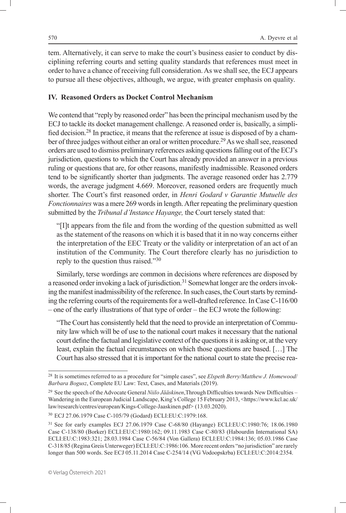tem. Alternatively, it can serve to make the court's business easier to conduct by disciplining referring courts and setting quality standards that references must meet in order to have a chance of receiving full consideration. As we shall see, the ECJ appears to pursue all these objectives, although, we argue, with greater emphasis on quality.

## **IV. Reasoned Orders as Docket Control Mechanism**

We contend that "reply by reasoned order" has been the principal mechanism used by the ECJ to tackle its docket management challenge. A reasoned order is, basically, a simplified decision.<sup>28</sup> In practice, it means that the reference at issue is disposed of by a chamber of three judges without either an oral or written procedure.29 As we shall see, reasoned orders are used to dismiss preliminary references asking questions falling out of the ECJ's jurisdiction, questions to which the Court has already provided an answer in a previous ruling or questions that are, for other reasons, manifestly inadmissible. Reasoned orders tend to be significantly shorter than judgments. The average reasoned order has 2.779 words, the average judgment 4.669. Moreover, reasoned orders are frequently much shorter. The Court's first reasoned order, in *Henri Godard v Garantie Mutuelle des Fonctionnaires* was a mere 269 words in length. After repeating the preliminary question submitted by the *Tribunal d'Instance Hayange,* the Court tersely stated that:

"[I]t appears from the file and from the wording of the question submitted as well as the statement of the reasons on which it is based that it in no way concerns either the interpretation of the EEC Treaty or the validity or interpretation of an act of an institution of the Community. The Court therefore clearly has no jurisdiction to reply to the question thus raised."30

Similarly, terse wordings are common in decisions where references are disposed by a reasoned order invoking a lack of jurisdiction.<sup>31</sup> Somewhat longer are the orders invoking the manifest inadmissibility of the reference. In such cases, the Court starts by reminding the referring courts of the requirements for a well-drafted reference. In Case C-116/00 – one of the early illustrations of that type of order – the ECJ wrote the following:

"The Court has consistently held that the need to provide an interpretation of Community law which will be of use to the national court makes it necessary that the national court define the factual and legislative context of the questions it is asking or, at the very least, explain the factual circumstances on which those questions are based. […] The Court has also stressed that it is important for the national court to state the precise rea-

<sup>28</sup> It is sometimes referred to as a procedure for "simple cases", see *Elspeth Berry/Matthew J. Homewood*/ *Barbara Bogusz*, Complete EU Law: Text, Cases, and Materials (2019).

<sup>&</sup>lt;sup>29</sup> See the speech of the Advocate General *Niilo Jääskinen*, Through Difficulties towards New Difficulties – Wandering in the European Judicial Landscape, King's College 15 February 2013, <https://www.kcl.ac.uk/ law/research/centres/european/Kings-College-Jaaskinen.pdf> (13.03.2020).

<sup>30</sup> ECJ 27.06.1979 Case C-105/79 (Godard) ECLI:EU:C:1979:168.

<sup>31</sup> See for early examples ECJ 27.06.1979 Case C-68/80 (Hayange) ECLI:EU:C:1980:76; 18.06.1980 Case C-138/80 (Borker) ECLI:EU:C:1980:162; 09.11.1983 Case C-80/83 (Habourdin International SA) ECLI:EU:C:1983:321; 28.03.1984 Case C-56/84 (Von Gallera) ECLI:EU:C:1984:136; 05.03.1986 Case C-318/85 (Regina Greis Unterweger) ECLI:EU:C:1986:106. More recent orders "no jurisdiction" are rarely longer than 500 words. See ECJ 05.11.2014 Case C-254/14 (VG Vodoopskrba) ECLI:EU:C:2014:2354.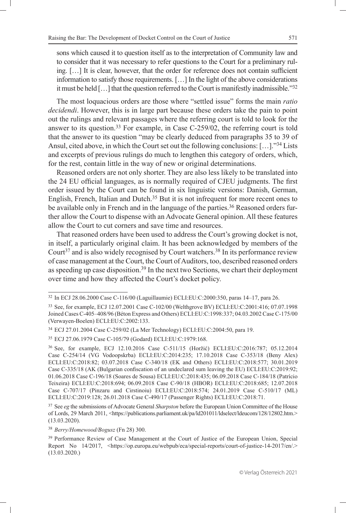sons which caused it to question itself as to the interpretation of Community law and to consider that it was necessary to refer questions to the Court for a preliminary ruling.  $[\,\ldots]$  It is clear, however, that the order for reference does not contain sufficient information to satisfy those requirements. […] In the light of the above considerations it must be held  $[\dots]$  that the question referred to the Court is manifestly inadmissible."<sup>32</sup>

The most loquacious orders are those where "settled issue" forms the main *ratio decidendi*. However, this is in large part because these orders take the pain to point out the rulings and relevant passages where the referring court is told to look for the answer to its question.<sup>33</sup> For example, in Case  $C$ -259/02, the referring court is told that the answer to its question "may be clearly deduced from paragraphs 35 to 39 of Ansul, cited above, in which the Court set out the following conclusions: [...]."<sup>34</sup> Lists and excerpts of previous rulings do much to lengthen this category of orders, which, for the rest, contain little in the way of new or original determinations.

Reasoned orders are not only shorter. They are also less likely to be translated into the 24 EU official languages, as is normally required of CJEU judgments. The first order issued by the Court can be found in six linguistic versions: Danish, German, English, French, Italian and Dutch.<sup>35</sup> But it is not infrequent for more recent ones to be available only in French and in the language of the parties.<sup>36</sup> Reasoned orders further allow the Court to dispense with an Advocate General opinion. All these features allow the Court to cut corners and save time and resources.

That reasoned orders have been used to address the Court's growing docket is not, in itself, a particularly original claim. It has been acknowledged by members of the Court<sup>37</sup> and is also widely recognised by Court watchers.<sup>38</sup> In its performance review of case management at the Court, the Court of Auditors, too, described reasoned orders as speeding up case disposition.<sup>39</sup> In the next two Sections, we chart their deployment over time and how they affected the Court's docket policy.

<sup>38</sup>*Berry/Homewood/Bogusz* (Fn 28) 300.

<sup>32</sup> In ECJ 28.06.2000 Case C-116/00 (Laguillaumie) ECLI:EU:C:2000:350, paras 14–17, para 26.

<sup>33</sup> See, for example, ECJ 12.07.2001 Case C-102/00 (Welthgrove BV) ECLI:EU:C:2001:416; 07.07.1998 Joined Cases C-405–408/96 (Béton Express and Others) ECLI:EU:C:1998:337; 04.03.2002 Case C-175/00 (Verwayen-Boelen) ECLI:EU:C:2002:133.

<sup>34</sup> ECJ 27.01.2004 Case C-259/02 (La Mer Technology) ECLI:EU:C:2004:50, para 19.

<sup>35</sup> ECJ 27.06.1979 Case C-105/79 (Godard) ECLI:EU:C:1979:168.

<sup>36</sup> See, for example, ECJ 12.10.2016 Case C-511/15 (Horžić) ECLI:EU:C:2016:787; 05.12.2014 Case C-254/14 (VG Vodoopskrba) ECLI:EU:C:2014:235; 17.10.2018 Case C-353/18 (Beny Alex) ECLI:EU:C:2018:82; 03.07.2018 Case C-340/18 (EK and Others) ECLI:EU:C:2018:577; 30.01.2019 Case C-335/18 (AK (Bulgarian confiscation of an undeclared sum leaving the EU) ECLI:EU:C:2019:92; 01.06.2018 Case C-196/18 (Soares de Sousa) ECLI:EU:C:2018:435; 06.09.2018 Case C-184/18 (Patrício Teixeira) ECLI:EU:C:2018:694; 06.09.2018 Case C-90/18 (HBOR) ECLI:EU:C:2018:685; 12.07.2018 Case C-707/17 (Pinzaru and Cirstinoiu) ECLI:EU:C:2018:574; 24.01.2019 Case C-510/17 (ML) ECLI:EU:C:2019:128; 26.01.2018 Case C-490/17 (Passenger Rights) ECLI:EU:C:2018:71.

<sup>37</sup> See *eg* the submissions of Advocate General *Sharpston* before the European Union Committee of the House of Lords, 29 March 2011, <https://publications.parliament.uk/pa/ld201011/ldselect/ldeucom/128/12802.htm.> (13.03.2020).

<sup>&</sup>lt;sup>39</sup> Performance Review of Case Management at the Court of Justice of the European Union, Special Report No 14/2017, <https://op.europa.eu/webpub/eca/special-reports/court-of-justice-14-2017/en/.> (13.03.2020.)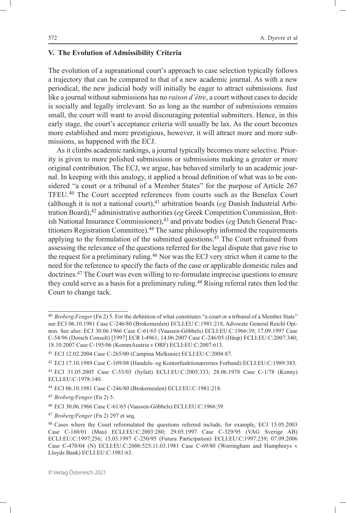## **V. The Evolution of Admissibility Criteria**

The evolution of a supranational court's approach to case selection typically follows a trajectory that can be compared to that of a new academic journal. As with a new periodical, the new judicial body will initially be eager to attract submissions. Just like a journal without submissions has no *raison d'être*, a court without cases to decide is socially and legally irrelevant. So as long as the number of submissions remains small, the court will want to avoid discouraging potential submitters. Hence, in this early stage, the court's acceptance criteria will usually be lax. As the court becomes more established and more prestigious, however, it will attract more and more submissions, as happened with the ECJ.

As it climbs academic rankings, a journal typically becomes more selective. Priority is given to more polished submissions or submissions making a greater or more original contribution. The ECJ, we argue, has behaved similarly to an academic journal. In keeping with this analogy, it applied a broad definition of what was to be considered "a court or a tribunal of a Member States" for the purpose of Article 267 TFEU.40 The Court accepted references from courts such as the Benelux Court (although it is not a national court),<sup>41</sup> arbitration boards (eg Danish Industrial Arbitration Board),42 administrative authorities (*eg* Greek Competition Commission, British National Insurance Commissioner),43 and private bodies (*eg* Dutch General Practitioners Registration Committee).44 The same philosophy informed the requirements applying to the formulation of the submitted questions.45 The Court refrained from assessing the relevance of the questions referred for the legal dispute that gave rise to the request for a preliminary ruling.46 Nor was the ECJ very strict when it came to the need for the reference to specify the facts of the case or applicable domestic rules and doctrines.47 The Court was even willing to re-formulate imprecise questions to ensure they could serve as a basis for a preliminary ruling.48 Rising referral rates then led the Court to change tack.

<sup>&</sup>lt;sup>40</sup> Broberg/Fenger (Fn 2) 5. For the definition of what constitutes "a court or a tribunal of a Member State" see ECJ 06.10.1981 Case C-246/80 (Brokemeulen) ECLI:EU:C:1981:218, Advocate General Reichl Opinon. See also: ECJ 30.06.1966 Case C-61/65 (Vaassen-Göbbels) ECLI:EU:C:1966:39; 17.09.1997 Case C-54/96 (Dorsch Consult) [1997] ECR I-4961; 14.06.2007 Case C-246/05 (Häup) ECLI:EU:C:2007:340; 18.10.2007 Case C-195/06 (KommAustria v ORF) ECLI:EU:C:2007:613.

<sup>41</sup> ECJ 12.02.2004 Case C-265/00 (Campina Melkunie) ECLI:EU:C:2004:87.

<sup>42</sup> ECJ 17.10.1989 Case C-109/88 (Handels- og Kontorfunktionærernes Forbund) ECLI:EU:C:1989:383.

<sup>43</sup> ECJ 31.05.2005 Case C-53/03 (Syfait) ECLI:EU:C:2005:333; 28.06.1978 Case C-1/78 (Kenny) ECLI:EU:C:1978:140.

<sup>44</sup> ECJ 06.10.1981 Case C-246/80 (Brokemeulen) ECLI:EU:C:1981:218.

<sup>45</sup>*Broberg/Fenger* (Fn 2) 5.

<sup>46</sup> ECJ 30.06.1966 Case C-61/65 (Vaassen-Göbbels) ECLI:EU:C:1966:39.

<sup>47</sup>*Broberg/Fenger* (Fn 2) 297 et seq.

<sup>48</sup> Cases where the Court reformulated the questions referred include, for example, ECJ 15.05.2003 Case C-160/01 (Mau) ECLI:EU:C:2003:280; 29.05.1997 Case C-329/95 (VAG Sverige AB) ECLI:EU:C:1997:256; 15.05.1997 C-250/95 (Futura Participation) ECLI:EU:C:1997:239; 07.09.2006 Case C-470/04 (N) ECLI:EU:C:2006:525;11.03.1981 Case C-69/80 (Worringham and Humphreys v Lloyds Bank) ECLI:EU:C:1981:63.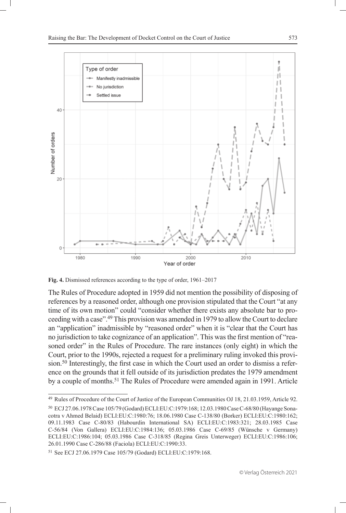

**Fig. 4.** Dismissed references according to the type of order, 1961–2017

The Rules of Procedure adopted in 1959 did not mention the possibility of disposing of references by a reasoned order, although one provision stipulated that the Court "at any time of its own motion" could "consider whether there exists any absolute bar to proceeding with a case".49 This provision was amended in 1979 to allow the Court to declare an "application" inadmissible by "reasoned order" when it is "clear that the Court has no jurisdiction to take cognizance of an application". This was the first mention of "reasoned order" in the Rules of Procedure. The rare instances (only eight) in which the Court, prior to the 1990s, rejected a request for a preliminary ruling invoked this provision.<sup>50</sup> Interestingly, the first case in which the Court used an order to dismiss a reference on the grounds that it fell outside of its jurisdiction predates the 1979 amendment by a couple of months.<sup>51</sup> The Rules of Procedure were amended again in 1991. Article

<sup>49</sup> Rules of Procedure of the Court of Justice of the European Communities OJ 18, 21.03.1959, Article 92. 50 ECJ 27.06.1978 Case 105/79 (Godard) ECLI:EU:C:1979:168; 12.03.1980 Case C-68/80 (Hayange Sonacotra v Ahmed Belaid) ECLI:EU:C:1980:76; 18.06.1980 Case C-138/80 (Borker) ECLI:EU:C:1980:162; 09.11.1983 Case C-80/83 (Habourdin International SA) ECLI:EU:C:1983:321; 28.03.1985 Case C-56/84 (Von Gallera) ECLI:EU:C:1984:136; 05.03.1986 Case C-69/85 (Wünsche v Germany) ECLI:EU:C:1986:104; 05.03.1986 Case C-318/85 (Regina Greis Unterweger) ECLI:EU:C:1986:106; 26.01.1990 Case C-286/88 (Faciola) ECLI:EU:C:1990:33.

<sup>51</sup> See ECJ 27.06.1979 Case 105/79 (Godard) ECLI:EU:C:1979:168.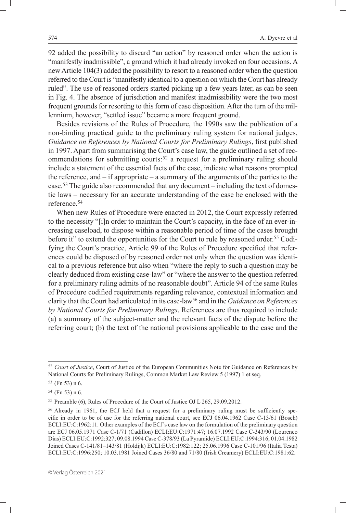92 added the possibility to discard "an action" by reasoned order when the action is "manifestly inadmissible", a ground which it had already invoked on four occasions. A new Article 104(3) added the possibility to resort to a reasoned order when the question referred to the Court is "manifestly identical to a question on which the Court has already ruled". The use of reasoned orders started picking up a few years later, as can be seen in Fig. 4. The absence of jurisdiction and manifest inadmissibility were the two most frequent grounds for resorting to this form of case disposition. After the turn of the millennium, however, "settled issue" became a more frequent ground.

Besides revisions of the Rules of Procedure, the 1990s saw the publication of a non-binding practical guide to the preliminary ruling system for national judges, *Guidance on References by National Courts for Preliminary Rulings*, first published in 1997. Apart from summarising the Court's case law, the guide outlined a set of recommendations for submitting courts:<sup>52</sup> a request for a preliminary ruling should include a statement of the essential facts of the case, indicate what reasons prompted the reference, and – if appropriate – a summary of the arguments of the parties to the case.53 The guide also recommended that any document – including the text of domestic laws – necessary for an accurate understanding of the case be enclosed with the reference<sup>54</sup>

When new Rules of Procedure were enacted in 2012, the Court expressly referred to the necessity "[i]n order to maintain the Court's capacity, in the face of an ever-increasing caseload, to dispose within a reasonable period of time of the cases brought before it" to extend the opportunities for the Court to rule by reasoned order.<sup>55</sup> Codifying the Court's practice, Article 99 of the Rules of Procedure specified that references could be disposed of by reasoned order not only when the question was identical to a previous reference but also when "where the reply to such a question may be clearly deduced from existing case-law" or "where the answer to the question referred for a preliminary ruling admits of no reasonable doubt". Article 94 of the same Rules of Procedure codified requirements regarding relevance, contextual information and clarity that the Court had articulated in its case-law56 and in the *Guidance on References by National Courts for Preliminary Rulings*. References are thus required to include (a) a summary of the subject-matter and the relevant facts of the dispute before the referring court; (b) the text of the national provisions applicable to the case and the

<sup>52</sup>*Court of Justice*, Court of Justice of the European Communities Note for Guidance on References by National Courts for Preliminary Rulings, Common Market Law Review 5 (1997) 1 et seq.

<sup>53 (</sup>Fn 53) n 6.

<sup>54 (</sup>Fn 53) n 6.

<sup>55</sup> Preamble (6), Rules of Procedure of the Court of Justice OJ L 265, 29.09.2012.

 $56$  Already in 1961, the ECJ held that a request for a preliminary ruling must be sufficiently specific in order to be of use for the referring national court, see ECJ 06.04.1962 Case C-13/61 (Bosch) ECLI:EU:C:1962:11. Other examples of the ECJ's case law on the formulation of the preliminary question are ECJ 06.05.1971 Case C-1/71 (Cadillon) ECLI:EU:C:1971:47; 16.07.1992 Case C-343/90 (Lourenco Dias) ECLI:EU:C:1992:327; 09.08.1994 Case C-378/93 (La Pyramide) ECLI:EU:C:1994:316; 01.04.1982 Joined Cases C-141/81–143/81 (Holdijk) ECLI:EU:C:1982:122; 25.06.1996 Case C-101/96 (Italia Testa) ECLI:EU:C:1996:250; 10.03.1981 Joined Cases 36/80 and 71/80 (Irish Creamery) ECLI:EU:C:1981:62.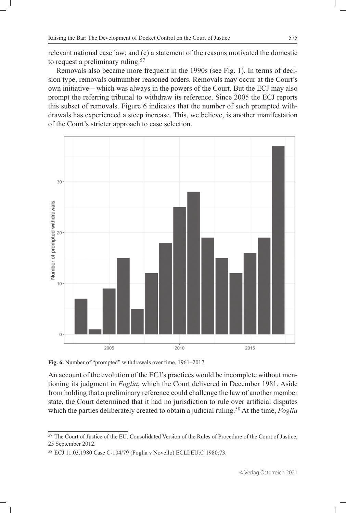relevant national case law; and (c) a statement of the reasons motivated the domestic to request a preliminary ruling.<sup>57</sup>

Removals also became more frequent in the 1990s (see Fig. 1). In terms of decision type, removals outnumber reasoned orders. Removals may occur at the Court's own initiative – which was always in the powers of the Court. But the ECJ may also prompt the referring tribunal to withdraw its reference. Since 2005 the ECJ reports this subset of removals. Figure 6 indicates that the number of such prompted withdrawals has experienced a steep increase. This, we believe, is another manifestation of the Court's stricter approach to case selection.



**Fig. 6.** Number of "prompted" withdrawals over time, 1961–2017

An account of the evolution of the ECJ's practices would be incomplete without mentioning its judgment in *Foglia*, which the Court delivered in December 1981. Aside from holding that a preliminary reference could challenge the law of another member state, the Court determined that it had no jurisdiction to rule over artificial disputes which the parties deliberately created to obtain a judicial ruling.<sup>58</sup> At the time, *Foglia* 

<sup>57</sup> The Court of Justice of the EU, Consolidated Version of the Rules of Procedure of the Court of Justice, 25 September 2012.

<sup>58</sup> ECJ 11.03.1980 Case C-104/79 (Foglia v Novello) ECLI:EU:C:1980:73.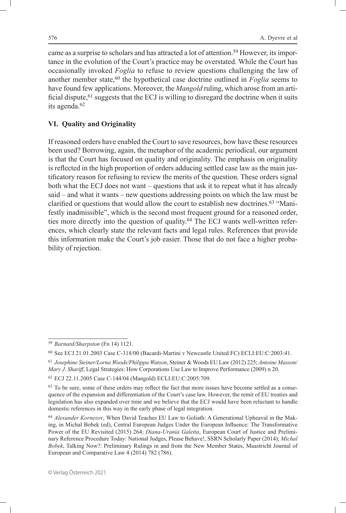came as a surprise to scholars and has attracted a lot of attention.<sup>59</sup> However, its importance in the evolution of the Court's practice may be overstated. While the Court has occasionally invoked *Foglia* to refuse to review questions challenging the law of another member state,<sup>60</sup> the hypothetical case doctrine outlined in *Foglia* seems to have found few applications. Moreover, the *Mangold* ruling, which arose from an artificial dispute,<sup>61</sup> suggests that the ECJ is willing to disregard the doctrine when it suits its agenda.62

## **VI. Quality and Originality**

If reasoned orders have enabled the Court to save resources, how have these resources been used? Borrowing, again, the metaphor of the academic periodical, our argument is that the Court has focused on quality and originality. The emphasis on originality is reflected in the high proportion of orders adducing settled case law as the main justificatory reason for refusing to review the merits of the question. These orders signal both what the ECJ does not want – questions that ask it to repeat what it has already said – and what it wants – new questions addressing points on which the law must be clarified or questions that would allow the court to establish new doctrines.<sup>63</sup> "Manifestly inadmissible", which is the second most frequent ground for a reasoned order, ties more directly into the question of quality.64 The ECJ wants well-written references, which clearly state the relevant facts and legal rules. References that provide this information make the Court's job easier. Those that do not face a higher probability of rejection.

<sup>59</sup>*Barnard/Sharpston* (Fn 14) 1121.

<sup>60</sup> See ECJ 21.01.2003 Case C-318/00 (Bacardi-Martini v Newcastle United FC) ECLI:EU:C:2003:41.

<sup>61</sup>*Josephine Steiner/Lorna Woods/Philippa Watson*, Steiner & Woods EU Law (2012) 225; *Antoine Masson*/ *Mary J. Shariff*, Legal Strategies: How Corporations Use Law to Improve Performance (2009) n 20.

<sup>62</sup> ECJ 22.11.2005 Case C-144/04 (Mangold) ECLI:EU:C:2005:709.

<sup>&</sup>lt;sup>63</sup> To be sure, some of these orders may reflect the fact that more issues have become settled as a consequence of the expansion and differentiation of the Court's case law. However, the remit of EU treaties and legislation has also expanded over time and we believe that the ECJ would have been reluctant to handle domestic references in this way in the early phase of legal integration.

<sup>64</sup> *Alexander Kornezov*, When David Teaches EU Law to Goliath: A Generational Upheaval in the Making, in Michal Bobek (ed), Central European Judges Under the European Influence: The Transformative Power of the EU Revisited (2015) 264; *Diana-Urania Galetta*, European Court of Justice and Preliminary Reference Procedure Today: National Judges, Please Behave!, SSRN Scholarly Paper (2014); *Michal Bobek*, Talking Now?: Preliminary Rulings in and from the New Member States, Maastricht Journal of European and Comparative Law 4 (2014) 782 (786).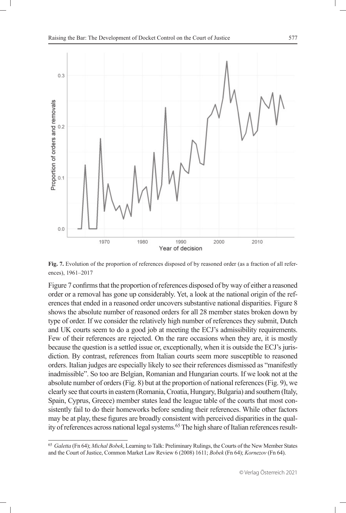

**Fig. 7.** Evolution of the proportion of references disposed of by reasoned order (as a fraction of all references), 1961–2017

Figure 7 confirms that the proportion of references disposed of by way of either a reasoned order or a removal has gone up considerably. Yet, a look at the national origin of the references that ended in a reasoned order uncovers substantive national disparities. Figure 8 shows the absolute number of reasoned orders for all 28 member states broken down by type of order. If we consider the relatively high number of references they submit, Dutch and UK courts seem to do a good job at meeting the ECJ's admissibility requirements. Few of their references are rejected. On the rare occasions when they are, it is mostly because the question is a settled issue or, exceptionally, when it is outside the ECJ's jurisdiction. By contrast, references from Italian courts seem more susceptible to reasoned orders. Italian judges are especially likely to see their references dismissed as "manifestly inadmissible". So too are Belgian, Romanian and Hungarian courts. If we look not at the absolute number of orders (Fig. 8) but at the proportion of national references (Fig. 9), we clearly see that courts in eastern (Romania, Croatia, Hungary, Bulgaria) and southern (Italy, Spain, Cyprus, Greece) member states lead the league table of the courts that most consistently fail to do their homeworks before sending their references. While other factors may be at play, these figures are broadly consistent with perceived disparities in the quality of references across national legal systems.<sup>65</sup> The high share of Italian references result-

<sup>65</sup>*Galetta* (Fn 64); *Michal Bobek*, Learning to Talk: Preliminary Rulings, the Courts of the New Member States and the Court of Justice, Common Market Law Review 6 (2008) 1611; *Bobek* (Fn 64); *Kornezov* (Fn 64).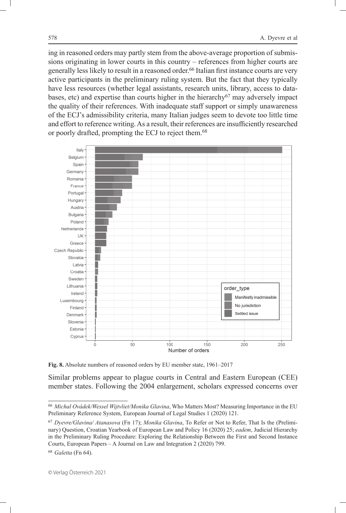ing in reasoned orders may partly stem from the above-average proportion of submissions originating in lower courts in this country – references from higher courts are generally less likely to result in a reasoned order.<sup>66</sup> Italian first instance courts are very active participants in the preliminary ruling system. But the fact that they typically have less resources (whether legal assistants, research units, library, access to databases, etc) and expertise than courts higher in the hierarchy<sup>67</sup> may adversely impact the quality of their references. With inadequate staff support or simply unawareness of the ECJ's admissibility criteria, many Italian judges seem to devote too little time and effort to reference writing. As a result, their references are insufficiently researched or poorly drafted, prompting the ECJ to reject them.68



**Fig. 8.** Absolute numbers of reasoned orders by EU member state, 1961–2017

Similar problems appear to plague courts in Central and Eastern European (CEE) member states. Following the 2004 enlargement, scholars expressed concerns over

<sup>66</sup>*Michal Ovádek/Wessel Wijtvliet/Monika Glavina*, Who Matters Most? Measuring Importance in the EU Preliminary Reference System, European Journal of Legal Studies 1 (2020) 121.

<sup>67</sup> *Dyevre/Glavina/ Atanasova* (Fn 17); *Monika Glavina*, To Refer or Not to Refer, That Is the (Preliminary) Question, Croatian Yearbook of European Law and Policy 16 (2020) 25; *eadem*, Judicial Hierarchy in the Preliminary Ruling Procedure: Exploring the Relationship Between the First and Second Instance Courts, European Papers – A Journal on Law and Integration 2 (2020) 799.

<sup>68</sup> *Galetta* (Fn 64).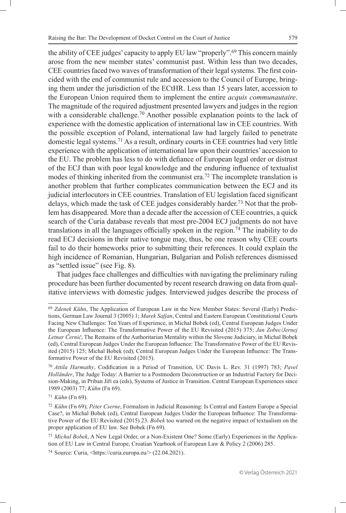the ability of CEE judges' capacity to apply EU law "properly".69 This concern mainly arose from the new member states' communist past. Within less than two decades, CEE countries faced two waves of transformation of their legal systems. The first coincided with the end of communist rule and accession to the Council of Europe, bringing them under the jurisdiction of the ECtHR. Less than 15 years later, accession to the European Union required them to implement the entire *acquis communautaire*. The magnitude of the required adjustment presented lawyers and judges in the region with a considerable challenge.<sup>70</sup> Another possible explanation points to the lack of experience with the domestic application of international law in CEE countries. With the possible exception of Poland, international law had largely failed to penetrate domestic legal systems.71 As a result, ordinary courts in CEE countries had very little experience with the application of international law upon their countries' accession to the EU. The problem has less to do with defiance of European legal order or distrust of the ECJ than with poor legal knowledge and the enduring influence of textualist modes of thinking inherited from the communist era.<sup>72</sup> The incomplete translation is another problem that further complicates communication between the ECJ and its judicial interlocutors in CEE countries. Translation of EU legislation faced significant delays, which made the task of CEE judges considerably harder.73 Not that the problem has disappeared. More than a decade after the accession of CEE countries, a quick search of the Curia database reveals that most pre-2004 ECJ judgments do not have translations in all the languages officially spoken in the region.<sup>74</sup> The inability to do read ECJ decisions in their native tongue may, thus, be one reason why CEE courts fail to do their homeworks prior to submitting their references. It could explain the high incidence of Romanian, Hungarian, Bulgarian and Polish references dismissed as "settled issue" (see Fig. 8).

That judges face challenges and difficulties with navigating the preliminary ruling procedure has been further documented by recent research drawing on data from qualitative interviews with domestic judges. Interviewed judges describe the process of

<sup>&</sup>lt;sup>69</sup> Zdenek Kühn, The Application of European Law in the New Member States: Several (Early) Predictions, German Law Journal 3 (2005) 1; *Marek Safjan*, Central and Eastern European Constitutional Courts Facing New Challenges: Ten Years of Experience, in Michal Bobek (ed), Central European Judges Under the European Influence: The Transformative Power of the EU Revisited (2015) 375; *Jan Zobec/Jernej Letnar Černič*, The Remains of the Authoritarian Mentality within the Slovene Judiciary, in Michal Bobek (ed), Central European Judges Under the European Influence: The Transformative Power of the EU Revisited (2015) 125; Michal Bobek (ed), Central European Judges Under the European Influence: The Transformative Power of the EU Revisited (2015).

<sup>&</sup>lt;sup>70</sup> Attila Harmathy, Codification in a Period of Transition, UC Davis L. Rev. 31 (1997) 783; *Pavel Holländer*, The Judge Today: A Barrier to a Postmodern Deconstruction or an Industrial Factory for Decision-Making, in Priban Jiří ea (eds), Systems of Justice in Transition. Central European Experiences since 1989 (2003) 77; *Kühn* (Fn 69).

<sup>71</sup>*Kühn* (Fn 69).

<sup>72</sup>*Kühn* (Fn 69); *Péter Cserne*, Formalism in Judicial Reasoning: Is Central and Eastern Europe a Special Case?, in Michal Bobek (ed), Central European Judges Under the European Influence: The Transformative Power of the EU Revisited (2015) 23. *Bobek* too warned on the negative impact of textualism on the proper application of EU law. See Bobek (Fn 69).

<sup>73</sup> *Michal Bobek*, A New Legal Order, or a Non-Existent One? Some (Early) Experiences in the Application of EU Law in Central Europe, Croatian Yearbook of European Law & Policy 2 (2006) 285.

<sup>74</sup> Source: Curia, <https://curia.europa.eu/> (22.04.2021).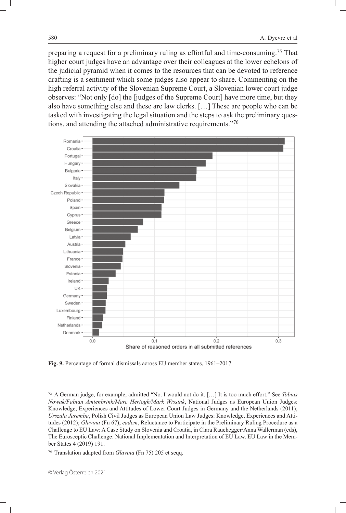preparing a request for a preliminary ruling as effortful and time-consuming.75 That higher court judges have an advantage over their colleagues at the lower echelons of the judicial pyramid when it comes to the resources that can be devoted to reference drafting is a sentiment which some judges also appear to share. Commenting on the high referral activity of the Slovenian Supreme Court, a Slovenian lower court judge observes: "Not only [do] the [judges of the Supreme Court] have more time, but they also have something else and these are law clerks. […] These are people who can be tasked with investigating the legal situation and the steps to ask the preliminary questions, and attending the attached administrative requirements."76



**Fig. 9.** Percentage of formal dismissals across EU member states, 1961–2017

<sup>75</sup> A German judge, for example, admitted "No. I would not do it. […] It is too much effort." See *Tobias Nowak/Fabian Amtenbrink/Marc Hertogh/Mark Wissink*, National Judges as European Union Judges: Knowledge, Experiences and Attitudes of Lower Court Judges in Germany and the Netherlands (2011); *Urszula Jaremba*, Polish Civil Judges as European Union Law Judges: Knowledge, Experiences and Attitudes (2012); *Glavina* (Fn 67); *eadem*, Reluctance to Participate in the Preliminary Ruling Procedure as a Challenge to EU Law: A Case Study on Slovenia and Croatia, in Clara Rauchegger/Anna Wallerman (eds), The Eurosceptic Challenge: National Implementation and Interpretation of EU Law. EU Law in the Member States 4 (2019) 191.

<sup>76</sup> Translation adapted from *Glavina* (Fn 75) 205 et seqq.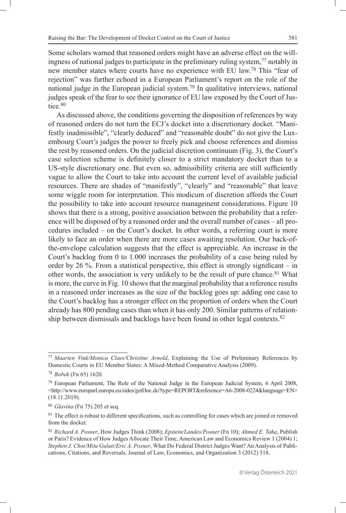Some scholars warned that reasoned orders might have an adverse effect on the willingness of national judges to participate in the preliminary ruling system,<sup>77</sup> notably in new member states where courts have no experience with EU law.78 This "fear of rejection" was further echoed in a European Parliament's report on the role of the national judge in the European judicial system.79 In qualitative interviews, national judges speak of the fear to see their ignorance of EU law exposed by the Court of Justice.80

As discussed above, the conditions governing the disposition of references by way of reasoned orders do not turn the ECJ's docket into a discretionary docket. "Manifestly inadmissible", "clearly deduced" and "reasonable doubt" do not give the Luxembourg Court's judges the power to freely pick and choose references and dismiss the rest by reasoned orders. On the judicial discretion continuum (Fig. 3), the Court's case selection scheme is definitely closer to a strict mandatory docket than to a US-style discretionary one. But even so, admissibility criteria are still sufficiently vague to allow the Court to take into account the current level of available judicial resources. There are shades of "manifestly", "clearly" and "reasonable" that leave some wiggle room for interpretation. This modicum of discretion affords the Court the possibility to take into account resource management considerations. Figure 10 shows that there is a strong, positive association between the probability that a reference will be disposed of by a reasoned order and the overall number of cases – all procedures included – on the Court's docket. In other words, a referring court is more likely to face an order when there are more cases awaiting resolution. Our back-ofthe-envelope calculation suggests that the effect is appreciable. An increase in the Court's backlog from 0 to 1.000 increases the probability of a case being ruled by order by 26 %. From a statistical perspective, this effect is strongly significant – in other words, the association is very unlikely to be the result of pure chance.<sup>81</sup> What is more, the curve in Fig. 10 shows that the marginal probability that a reference results in a reasoned order increases as the size of the backlog goes up: adding one case to the Court's backlog has a stronger effect on the proportion of orders when the Court already has 800 pending cases than when it has only 200. Similar patterns of relationship between dismissals and backlogs have been found in other legal contexts.<sup>82</sup>

<sup>77</sup>*Maarten Vink/Monica Claes/Christine Arnold*, Explaining the Use of Preliminary References by Domestic Courts in EU Member States: A Mixed-Method Comparative Analysis (2009).

<sup>78</sup>*Bobek* (Fn 65) 1620.

<sup>79</sup> European Parliament, The Role of the National Judge in the European Judicial System, 6 April 2008, <http://www.europarl.europa.eu/sides/getDoc.do?type=REPORT&reference=A6-2008-0224&language=EN> (18.11.2019).

<sup>80</sup>*Glavina* (Fn 75) 205 et seq.

<sup>&</sup>lt;sup>81</sup> The effect is robust to different specifications, such as controlling for cases which are joined or removed from the docket.

<sup>82</sup>*Richard A. Posner*, How Judges Think (2008); *Epstein/Landes/Posner* (Fn 10); *Ahmed E. Taha*, Publish or Paris? Evidence of How Judges Allocate Their Time, American Law and Economics Review 1 (2004) 1; *Stephen J. Choi/Mitu Gulati/Eric A. Posner*, What Do Federal District Judges Want? An Analysis of Publications, Citations, and Reversals, Journal of Law, Economics, and Organization 3 (2012) 518.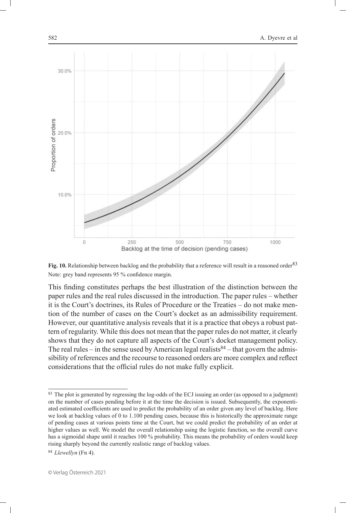

Fig. 10. Relationship between backlog and the probability that a reference will result in a reasoned order<sup>83</sup> Note: grey band represents 95 % confidence margin.

This finding constitutes perhaps the best illustration of the distinction between the paper rules and the real rules discussed in the introduction. The paper rules – whether it is the Court's doctrines, its Rules of Procedure or the Treaties – do not make mention of the number of cases on the Court's docket as an admissibility requirement. However, our quantitative analysis reveals that it is a practice that obeys a robust pattern of regularity. While this does not mean that the paper rules do not matter, it clearly shows that they do not capture all aspects of the Court's docket management policy. The real rules – in the sense used by American legal realists  $84$  – that govern the admissibility of references and the recourse to reasoned orders are more complex and reflect considerations that the official rules do not make fully explicit.

<sup>&</sup>lt;sup>83</sup> The plot is generated by regressing the log-odds of the ECJ issuing an order (as opposed to a judgment) on the number of cases pending before it at the time the decision is issued. Subsequently, the exponentiated estimated coefficients are used to predict the probability of an order given any level of backlog. Here we look at backlog values of 0 to 1.100 pending cases, because this is historically the approximate range of pending cases at various points time at the Court, but we could predict the probability of an order at higher values as well. We model the overall relationship using the logistic function, so the overall curve has a sigmoidal shape until it reaches 100 % probability. This means the probability of orders would keep rising sharply beyond the currently realistic range of backlog values.

<sup>84</sup> *Llewellyn* (Fn 4).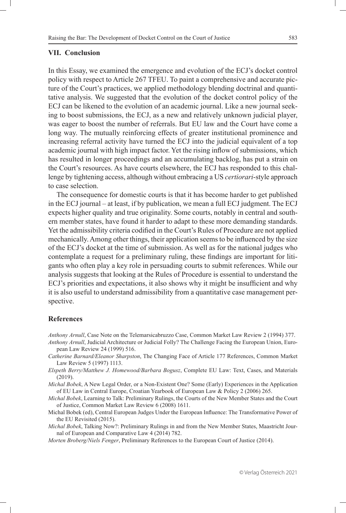## **VII. Conclusion**

In this Essay, we examined the emergence and evolution of the ECJ's docket control policy with respect to Article 267 TFEU. To paint a comprehensive and accurate picture of the Court's practices, we applied methodology blending doctrinal and quantitative analysis. We suggested that the evolution of the docket control policy of the ECJ can be likened to the evolution of an academic journal. Like a new journal seeking to boost submissions, the ECJ, as a new and relatively unknown judicial player, was eager to boost the number of referrals. But EU law and the Court have come a long way. The mutually reinforcing effects of greater institutional prominence and increasing referral activity have turned the ECJ into the judicial equivalent of a top academic journal with high impact factor. Yet the rising inflow of submissions, which has resulted in longer proceedings and an accumulating backlog, has put a strain on the Court's resources. As have courts elsewhere, the ECJ has responded to this challenge by tightening access, although without embracing a US *certiorari*-style approach to case selection.

The consequence for domestic courts is that it has become harder to get published in the ECJ journal – at least, if by publication, we mean a full ECJ judgment. The ECJ expects higher quality and true originality. Some courts, notably in central and southern member states, have found it harder to adapt to these more demanding standards. Yet the admissibility criteria codified in the Court's Rules of Procedure are not applied mechanically. Among other things, their application seems to be influenced by the size of the ECJ's docket at the time of submission. As well as for the national judges who contemplate a request for a preliminary ruling, these findings are important for litigants who often play a key role in persuading courts to submit references. While our analysis suggests that looking at the Rules of Procedure is essential to understand the ECJ's priorities and expectations, it also shows why it might be insufficient and why it is also useful to understand admissibility from a quantitative case management perspective.

### **References**

*Anthony Arnull*, Case Note on the Telemarsicabruzzo Case, Common Market Law Review 2 (1994) 377.

- *Anthony Arnull*, Judicial Architecture or Judicial Folly? The Challenge Facing the European Union, European Law Review 24 (1999) 516.
- *Catherine Barnard/Eleanor Sharpston*, The Changing Face of Article 177 References, Common Market Law Review 5 (1997) 1113.
- *Elspeth Berry/Matthew J. Homewood/Barbara Bogusz*, Complete EU Law: Text, Cases, and Materials (2019).
- *Michal Bobek*, A New Legal Order, or a Non-Existent One? Some (Early) Experiences in the Application of EU Law in Central Europe, Croatian Yearbook of European Law & Policy 2 (2006) 265.
- *Michal Bobek*, Learning to Talk: Preliminary Rulings, the Courts of the New Member States and the Court of Justice, Common Market Law Review 6 (2008) 1611.
- Michal Bobek (ed), Central European Judges Under the European Influence: The Transformative Power of the EU Revisited (2015).
- *Michal Bobek*, Talking Now?: Preliminary Rulings in and from the New Member States, Maastricht Journal of European and Comparative Law 4 (2014) 782.

*Morten Broberg/Niels Fenger*, Preliminary References to the European Court of Justice (2014).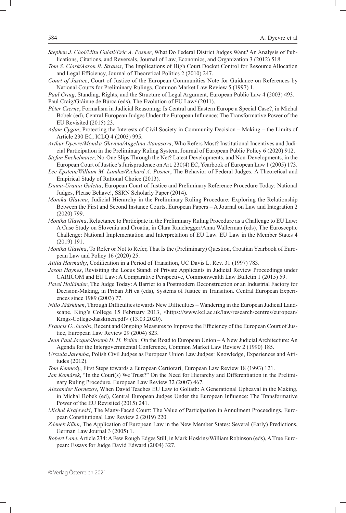- *Stephen J. Choi/Mitu Gulati/Eric A. Posner*, What Do Federal District Judges Want? An Analysis of Publications, Citations, and Reversals, Journal of Law, Economics, and Organization 3 (2012) 518.
- *Tom S. Clark/Aaron B. Strauss*, The Implications of High Court Docket Control for Resource Allocation and Legal Efficiency, Journal of Theoretical Politics 2 (2010) 247.
- *Court of Justice*, Court of Justice of the European Communities Note for Guidance on References by National Courts for Preliminary Rulings, Common Market Law Review 5 (1997) 1.

*Paul Craig*, Standing, Rights, and the Structure of Legal Argument, European Public Law 4 (2003) 493. Paul Craig/Gráinne de Búrca (eds), The Evolution of EU Law<sup>2</sup> (2011).

- *Péter Cserne*, Formalism in Judicial Reasoning: Is Central and Eastern Europe a Special Case?, in Michal Bobek (ed), Central European Judges Under the European Influence: The Transformative Power of the EU Revisited (2015) 23.
- *Adam Cygan*, Protecting the Interests of Civil Society in Community Decision Making the Limits of Article 230 EC, ICLQ 4 (2003) 995.
- *Arthur Dyevre/Monika Glavina/Angelina Atanasova*, Who Refers Most? Institutional Incentives and Judicial Participation in the Preliminary Ruling System, Journal of European Public Policy 6 (2020) 912.
- *Stefan Enchelmaier*, No-One Slips Through the Net? Latest Developments, and Non-Developments, in the European Court of Justice's Jurisprudence on Art. 230(4) EC, Yearbook of European Law 1 (2005) 173.
- *Lee Epstein/William M. Landes/Richard A. Posner*, The Behavior of Federal Judges: A Theoretical and Empirical Study of Rational Choice (2013).
- *Diana-Urania Galetta*, European Court of Justice and Preliminary Reference Procedure Today: National Judges, Please Behave!, SSRN Scholarly Paper (2014).
- *Monika Glavina*, Judicial Hierarchy in the Preliminary Ruling Procedure: Exploring the Relationship Between the First and Second Instance Courts, European Papers – A Journal on Law and Integration 2 (2020) 799.
- *Monika Glavina*, Reluctance to Participate in the Preliminary Ruling Procedure as a Challenge to EU Law: A Case Study on Slovenia and Croatia, in Clara Rauchegger/Anna Wallerman (eds), The Eurosceptic Challenge: National Implementation and Interpretation of EU Law. EU Law in the Member States 4 (2019) 191.
- *Monika Glavina*, To Refer or Not to Refer, That Is the (Preliminary) Question, Croatian Yearbook of European Law and Policy 16 (2020) 25.
- *Attila Harmathy*, Codification in a Period of Transition, UC Davis L. Rev. 31 (1997) 783.
- *Jason Haynes*, Revisiting the Locus Standi of Private Applicants in Judicial Review Proceedings under CARICOM and EU Law: A Comparative Perspective, Commonwealth Law Bulletin 1 (2015) 59.
- *Pavel Holländer*, The Judge Today: A Barrier to a Postmodern Deconstruction or an Industrial Factory for Decision-Making, in Priban Jiří ea (eds), Systems of Justice in Transition. Central European Experiences since 1989 (2003) 77.
- *Niilo Jääskinen*, Through Difficulties towards New Difficulties Wandering in the European Judicial Landscape, King's College 15 February 2013, <https://www.kcl.ac.uk/law/research/centres/european/ Kings-College-Jaaskinen.pdf> (13.03.2020).
- *Francis G. Jacobs*, Recent and Ongoing Measures to Improve the Efficiency of the European Court of Justice, European Law Review 29 (2004) 823.
- *Jean Paul Jacqué/Joseph H. H. Weiler*, On the Road to European Union A New Judicial Architecture: An Agenda for the Intergovernmental Conference, Common Market Law Review 2 (1990) 185.
- *Urszula Jaremba*, Polish Civil Judges as European Union Law Judges: Knowledge, Experiences and Attitudes (2012).
- *Tom Kennedy*, First Steps towards a European Certiorari, European Law Review 18 (1993) 121.
- *Jan Komárek*, "In the Court(s) We Trust?" On the Need for Hierarchy and Differentiation in the Preliminary Ruling Procedure, European Law Review 32 (2007) 467.
- *Alexander Kornezov*, When David Teaches EU Law to Goliath: A Generational Upheaval in the Making, in Michal Bobek (ed), Central European Judges Under the European Influence: The Transformative Power of the EU Revisited (2015) 241.
- *Michał Krajewski*, The Many-Faced Court: The Value of Participation in Annulment Proceedings, European Constitutional Law Review 2 (2019) 220.
- *Zdenek Kühn*, The Application of European Law in the New Member States: Several (Early) Predictions, German Law Journal 3 (2005) 1.
- *Robert Lane*, Article 234: A Few Rough Edges Still, in Mark Hoskins/William Robinson (eds), A True European: Essays for Judge David Edward (2004) 327.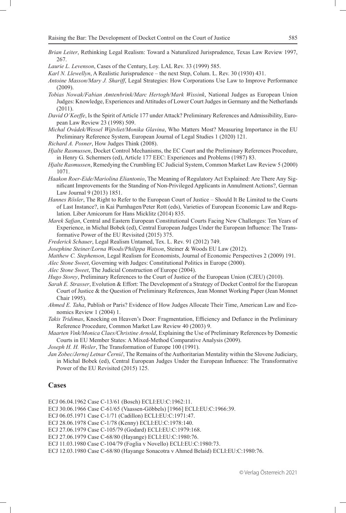- *Brian Leiter*, Rethinking Legal Realism: Toward a Naturalized Jurisprudence, Texas Law Review 1997, 267.
- *Laurie L. Levenson*, Cases of the Century, Loy. LAL Rev. 33 (1999) 585.
- *Karl N. Llewellyn*, A Realistic Jurisprudence the next Step, Colum. L. Rev. 30 (1930) 431.
- *Antoine Masson/Mary J. Shariff*, Legal Strategies: How Corporations Use Law to Improve Performance (2009).
- *Tobias Nowak/Fabian Amtenbrink/Marc Hertogh/Mark Wissink*, National Judges as European Union Judges: Knowledge, Experiences and Attitudes of Lower Court Judges in Germany and the Netherlands (2011).
- *David O'Keeffe*, Is the Spirit of Article 177 under Attack? Preliminary References and Admissibility, European Law Review 23 (1998) 509.
- *Michal Ovádek/Wessel Wijtvliet/Monika Glavina*, Who Matters Most? Measuring Importance in the EU Preliminary Reference System, European Journal of Legal Studies 1 (2020) 121.
- *Richard A. Posner*, How Judges Think (2008).
- *Hjalte Rasmussen*, Docket Control Mechanisms, the EC Court and the Preliminary References Procedure, in Henry G. Schermers (ed), Article 177 EEC: Experiences and Problems (1987) 83.
- *Hjalte Rasmussen*, Remedying the Crumbling EC Judicial System, Common Market Law Review 5 (2000) 1071.
- *Haakon Roer-Eide/Mariolina Eliantonio*, The Meaning of Regulatory Act Explained: Are There Any Significant Improvements for the Standing of Non-Privileged Applicants in Annulment Actions?, German Law Journal 9 (2013) 1851.
- *Hannes Rösler*, The Right to Refer to the European Court of Justice Should It Be Limited to the Courts of Last Instance?, in Kai Purnhagen/Peter Rott (eds), Varieties of European Economic Law and Regulation. Liber Amicorum for Hans Micklitz (2014) 835.
- *Marek Safjan*, Central and Eastern European Constitutional Courts Facing New Challenges: Ten Years of Experience, in Michal Bobek (ed), Central European Judges Under the European Influence: The Transformative Power of the EU Revisited (2015) 375.
- *Frederick Schauer*, Legal Realism Untamed, Tex. L. Rev. 91 (2012) 749.
- *Josephine Steiner/Lorna Woods/Philippa Watson*, Steiner & Woods EU Law (2012).
- *Matthew C. Stephenson*, Legal Realism for Economists, Journal of Economic Perspectives 2 (2009) 191.
- *Alec Stone Sweet*, Governing with Judges: Constitutional Politics in Europe (2000).
- *Alec Stone Sweet*, The Judicial Construction of Europe (2004).
- *Hugo Storey*, Preliminary References to the Court of Justice of the European Union (CJEU) (2010).
- *Sarah E. Strasser*, Evolution & Effort: The Development of a Strategy of Docket Control for the European Court of Justice & the Question of Preliminary References, Jean Monnet Working Paper (Jean Monnet Chair 1995).
- *Ahmed E. Taha*, Publish or Paris? Evidence of How Judges Allocate Their Time, American Law and Economics Review 1 (2004) 1.
- *Takis Tridimas*, Knocking on Heaven's Door: Fragmentation, Efficiency and Defiance in the Preliminary Reference Procedure, Common Market Law Review 40 (2003) 9.
- *Maarten Vink/Monica Claes/Christine Arnold*, Explaining the Use of Preliminary References by Domestic Courts in EU Member States: A Mixed-Method Comparative Analysis (2009).
- *Joseph H. H. Weiler*, The Transformation of Europe 100 (1991).
- *Jan Zobec/Jernej Letnar Černič*, The Remains of the Authoritarian Mentality within the Slovene Judiciary, in Michal Bobek (ed), Central European Judges Under the European Influence: The Transformative Power of the EU Revisited (2015) 125.

#### **Cases**

ECJ 06.04.1962 Case C-13/61 (Bosch) ECLI:EU:C:1962:11.

ECJ 30.06.1966 Case C-61/65 (Vaassen-Göbbels) [1966] ECLI:EU:C:1966:39.

- ECJ 06.05.1971 Case C-1/71 (Cadillon) ECLI:EU:C:1971:47.
- ECJ 28.06.1978 Case C-1/78 (Kenny) ECLI:EU:C:1978:140.

ECJ 27.06.1979 Case C-105/79 (Godard) ECLI:EU:C:1979:168.

ECJ 27.06.1979 Case C-68/80 (Hayange) ECLI:EU:C:1980:76.

ECJ 11.03.1980 Case C-104/79 (Foglia v Novello) ECLI:EU:C:1980:73.

ECJ 12.03.1980 Case C-68/80 (Hayange Sonacotra v Ahmed Belaid) ECLI:EU:C:1980:76.